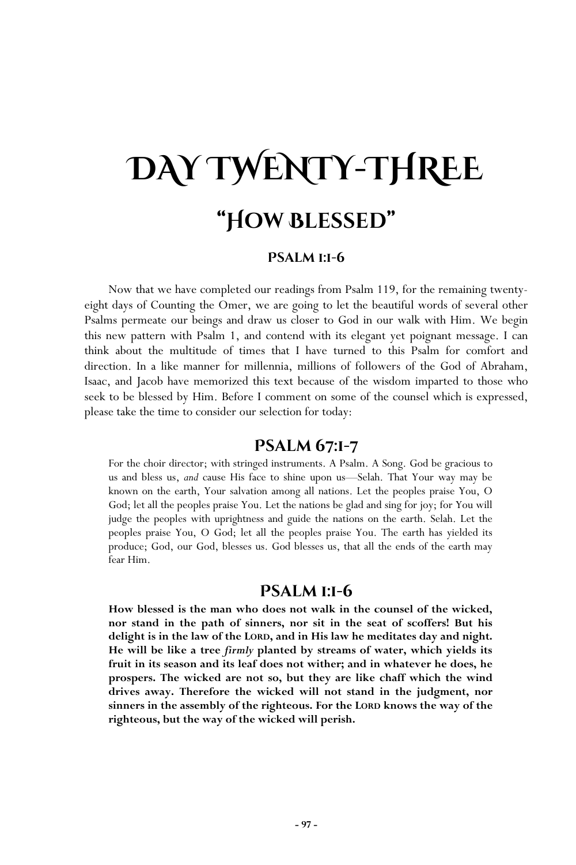# **DAY TWENTY-THREE "How Blessed"**

### **Psalm 1:1-6**

Now that we have completed our readings from Psalm 119, for the remaining twentyeight days of Counting the Omer, we are going to let the beautiful words of several other Psalms permeate our beings and draw us closer to God in our walk with Him. We begin this new pattern with Psalm 1, and contend with its elegant yet poignant message. I can think about the multitude of times that I have turned to this Psalm for comfort and direction. In a like manner for millennia, millions of followers of the God of Abraham, Isaac, and Jacob have memorized this text because of the wisdom imparted to those who seek to be blessed by Him. Before I comment on some of the counsel which is expressed, please take the time to consider our selection for today:

## **Psalm 67:1-7**

For the choir director; with stringed instruments. A Psalm. A Song. God be gracious to us and bless us, *and* cause His face to shine upon us—Selah. That Your way may be known on the earth, Your salvation among all nations. Let the peoples praise You, O God; let all the peoples praise You. Let the nations be glad and sing for joy; for You will judge the peoples with uprightness and guide the nations on the earth. Selah. Let the peoples praise You, O God; let all the peoples praise You. The earth has yielded its produce; God, our God, blesses us. God blesses us, that all the ends of the earth may fear Him.

## **Psalm 1:1-6**

**How blessed is the man who does not walk in the counsel of the wicked, nor stand in the path of sinners, nor sit in the seat of scoffers! But his delight is in the law of the LORD, and in His law he meditates day and night. He will be like a tree** *firmly* **planted by streams of water, which yields its fruit in its season and its leaf does not wither; and in whatever he does, he prospers. The wicked are not so, but they are like chaff which the wind drives away. Therefore the wicked will not stand in the judgment, nor sinners in the assembly of the righteous. For the LORD knows the way of the righteous, but the way of the wicked will perish.**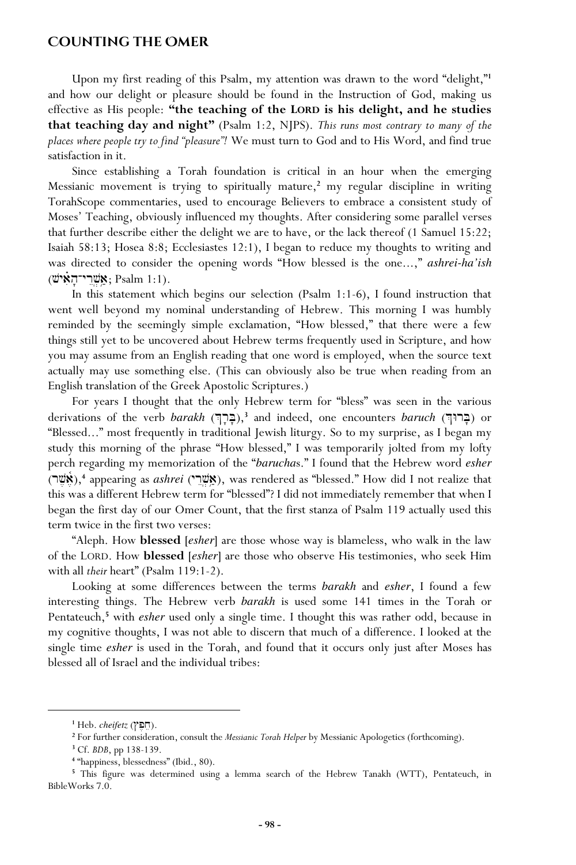### **Counting the Omer**

Upon my first reading of this Psalm, my attention was drawn to the word "delight,"**<sup>1</sup>** and how our delight or pleasure should be found in the Instruction of God, making us effective as His people: **"the teaching of the LORD is his delight, and he studies that teaching day and night"** (Psalm 1:2, NJPS). *This runs most contrary to many of the places where people try to find "pleasure"!* We must turn to God and to His Word, and find true satisfaction in it.

Since establishing a Torah foundation is critical in an hour when the emerging Messianic movement is trying to spiritually mature,**<sup>2</sup>** my regular discipline in writing TorahScope commentaries, used to encourage Believers to embrace a consistent study of Moses' Teaching, obviously influenced my thoughts. After considering some parallel verses that further describe either the delight we are to have, or the lack thereof (1 Samuel 15:22; Isaiah 58:13; Hosea 8:8; Ecclesiastes 12:1), I began to reduce my thoughts to writing and was directed to consider the opening words "How blessed is the one...," *ashrei-ha'ish* (שֵׁרֵי־הַאִישׁ), Psalm 1:1).

In this statement which begins our selection (Psalm 1:1-6), I found instruction that went well beyond my nominal understanding of Hebrew. This morning I was humbly reminded by the seemingly simple exclamation, "How blessed," that there were a few things still yet to be uncovered about Hebrew terms frequently used in Scripture, and how you may assume from an English reading that one word is employed, when the source text actually may use something else. (This can obviously also be true when reading from an English translation of the Greek Apostolic Scriptures.)

For years I thought that the only Hebrew term for "bless" was seen in the various derivations of the verb *barakh* (בְּרוּךָ, 3<sup>3</sup> and indeed, one encounters *baruch* (בְּרוּךְ) or "Blessed..." most frequently in traditional Jewish liturgy. So to my surprise, as I began my study this morning of the phrase "How blessed," I was temporarily jolted from my lofty perch regarding my memorization of the "*barucha*s." I found that the Hebrew word *esher* (אֶשֶּׁרָ),<sup>4</sup> appearing as *ashrei* (אֵשֶׁר), was rendered as "blessed." How did I not realize that this was a different Hebrew term for "blessed"? I did not immediately remember that when I began the first day of our Omer Count, that the first stanza of Psalm 119 actually used this term twice in the first two verses:

"Aleph. How **blessed** [*esher*] are those whose way is blameless, who walk in the law of the LORD. How **blessed** [*esher*] are those who observe His testimonies, who seek Him with all *their* heart" (Psalm 119:1-2).

Looking at some differences between the terms *barakh* and *esher*, I found a few interesting things. The Hebrew verb *barakh* is used some 141 times in the Torah or Pentateuch,<sup>5</sup> with *esher* used only a single time. I thought this was rather odd, because in my cognitive thoughts, I was not able to discern that much of a difference. I looked at the single time *esher* is used in the Torah, and found that it occurs only just after Moses has blessed all of Israel and the individual tribes:

**<sup>1</sup>** Heb. *cheifetz* (#p,xe).

**<sup>2</sup>** For further consideration, consult the *Messianic Torah Helper* by Messianic Apologetics (forthcoming).

**<sup>3</sup>** Cf. *BDB*, pp 138-139.

**<sup>4</sup>** "happiness, blessedness" (Ibid., 80).

<sup>&</sup>lt;sup>5</sup> This figure was determined using a lemma search of the Hebrew Tanakh (WTT), Pentateuch, in BibleWorks 7.0.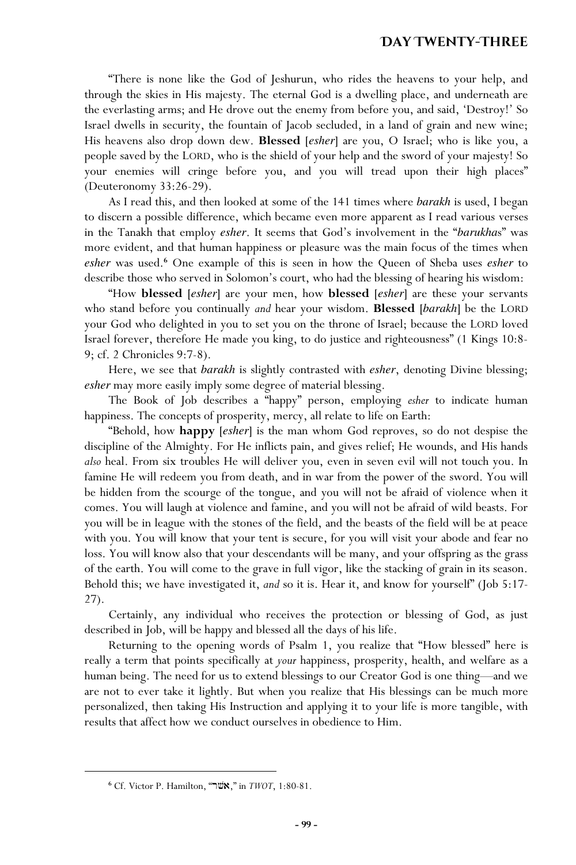### **Day Twenty-Three**

"There is none like the God of Jeshurun, who rides the heavens to your help, and through the skies in His majesty. The eternal God is a dwelling place, and underneath are the everlasting arms; and He drove out the enemy from before you, and said, 'Destroy!' So Israel dwells in security, the fountain of Jacob secluded, in a land of grain and new wine; His heavens also drop down dew. **Blessed** [*esher*] are you, O Israel; who is like you, a people saved by the LORD, who is the shield of your help and the sword of your majesty! So your enemies will cringe before you, and you will tread upon their high places" (Deuteronomy 33:26-29).

As I read this, and then looked at some of the 141 times where *barakh* is used, I began to discern a possible difference, which became even more apparent as I read various verses in the Tanakh that employ *esher*. It seems that God's involvement in the "*barukha*s" was more evident, and that human happiness or pleasure was the main focus of the times when *esher* was used.**<sup>6</sup>** One example of this is seen in how the Queen of Sheba uses *esher* to describe those who served in Solomon's court, who had the blessing of hearing his wisdom:

"How **blessed** [*esher*] are your men, how **blessed** [*esher*] are these your servants who stand before you continually *and* hear your wisdom. **Blessed** [*barakh*] be the LORD your God who delighted in you to set you on the throne of Israel; because the LORD loved Israel forever, therefore He made you king, to do justice and righteousness" (1 Kings 10:8- 9; cf. 2 Chronicles 9:7-8).

Here, we see that *barakh* is slightly contrasted with *esher*, denoting Divine blessing; *esher* may more easily imply some degree of material blessing.

The Book of Job describes a "happy" person, employing *esher* to indicate human happiness. The concepts of prosperity, mercy, all relate to life on Earth:

"Behold, how **happy** [*esher*] is the man whom God reproves, so do not despise the discipline of the Almighty. For He inflicts pain, and gives relief; He wounds, and His hands *also* heal. From six troubles He will deliver you, even in seven evil will not touch you. In famine He will redeem you from death, and in war from the power of the sword. You will be hidden from the scourge of the tongue, and you will not be afraid of violence when it comes. You will laugh at violence and famine, and you will not be afraid of wild beasts. For you will be in league with the stones of the field, and the beasts of the field will be at peace with you. You will know that your tent is secure, for you will visit your abode and fear no loss. You will know also that your descendants will be many, and your offspring as the grass of the earth. You will come to the grave in full vigor, like the stacking of grain in its season. Behold this; we have investigated it, *and* so it is. Hear it, and know for yourself" (Job 5:17- 27).

Certainly, any individual who receives the protection or blessing of God, as just described in Job, will be happy and blessed all the days of his life.

Returning to the opening words of Psalm 1, you realize that "How blessed" here is really a term that points specifically at *your* happiness, prosperity, health, and welfare as a human being. The need for us to extend blessings to our Creator God is one thing—and we are not to ever take it lightly. But when you realize that His blessings can be much more personalized, then taking His Instruction and applying it to your life is more tangible, with results that affect how we conduct ourselves in obedience to Him.

<sup>6</sup> Cf. Victor P. Hamilton, "תשר", " in *TWOT*, 1:80-81.